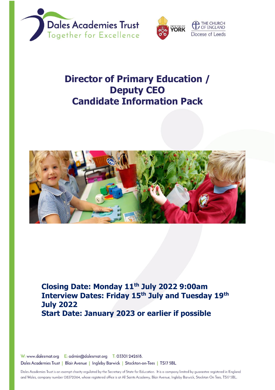



# **Director of Primary Education / Deputy CEO Candidate Information Pack**



**Closing Date: Monday 11th July 2022 9:00am Interview Dates: Friday 15th July and Tuesday 19th July 2022 Start Date: January 2023 or earlier if possible**

W: www.dalesmat.org E: admin@dalesmat.org T: 03301 242618. Dales Academies Trust | Blair Avenue | Ingleby Barwick | Stockton-on-Tees | TS17 5BL

Dales Academies Trust is an exempt charity regulated by the Secretary of State for Education. It is a company limited by guarantee registered in England and Wales, company number 08372064, whose registered office is at All Saints Academy, Blair Avenue, Ingleby Barwick, Stockton On Tees, TS17 5BL.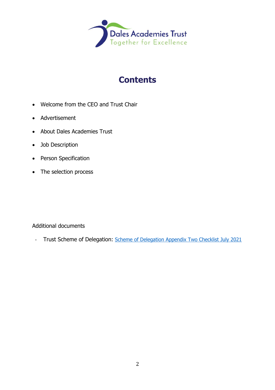

# **Contents**

- Welcome from the CEO and Trust Chair
- Advertisement
- About Dales Academies Trust
- Job Description
- Person Specification
- The selection process

#### Additional documents

- Trust Scheme of Delegation: [Scheme of Delegation Appendix Two Checklist July 2021](https://www.dalesmat.org/files/statutory-info/Scheme%20of%20Delegation%20Appendix%20Two%20Checklist%20July%202021.pdf)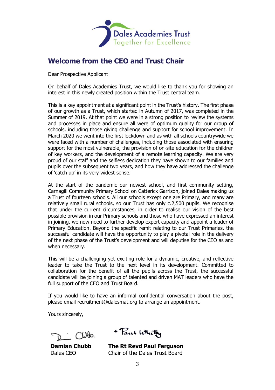

### **Welcome from the CEO and Trust Chair**

Dear Prospective Applicant

On behalf of Dales Academies Trust, we would like to thank you for showing an interest in this newly created position within the Trust central team.

This is a key appointment at a significant point in the Trust's history. The first phase of our growth as a Trust, which started in Autumn of 2017, was completed in the Summer of 2019. At that point we were in a strong position to review the systems and processes in place and ensure all were of optimum quality for our group of schools, including those giving challenge and support for school improvement. In March 2020 we went into the first lockdown and as with all schools countrywide we were faced with a number of challenges, including those associated with ensuring support for the most vulnerable, the provision of on-site education for the children of key workers, and the development of a remote learning capacity. We are very proud of our staff and the selfless dedication they have shown to our families and pupils over the subsequent two years, and how they have addressed the challenge of 'catch up' in its very widest sense.

At the start of the pandemic our newest school, and first community setting, Carnagill Community Primary School on Catterick Garrison, joined Dales making us a Trust of fourteen schools. All our schools except one are Primary, and many are relatively small rural schools, so our Trust has only c.2,500 pupils. We recognise that under the current circumstances, in order to realise our vision of the best possible provision in our Primary schools and those who have expressed an interest in joining, we now need to further develop expert capacity and appoint a leader of Primary Education. Beyond the specific remit relating to our Trust Primaries, the successful candidate will have the opportunity to play a pivotal role in the delivery of the next phase of the Trust's development and will deputise for the CEO as and when necessary.

This will be a challenging yet exciting role for a dynamic, creative, and reflective leader to take the Trust to the next level in its development. Committed to collaboration for the benefit of all the pupils across the Trust, the successful candidate will be joining a group of talented and driven MAT leaders who have the full support of the CEO and Trust Board.

If you would like to have an informal confidential conversation about the post, please email recruitment@dalesmat.org to arrange an appointment.

Yours sincerely,

 $C1000$ 

**Damian Chubb** Dales CEO

+ Paul White

**The Rt Revd Paul Ferguson** Chair of the Dales Trust Board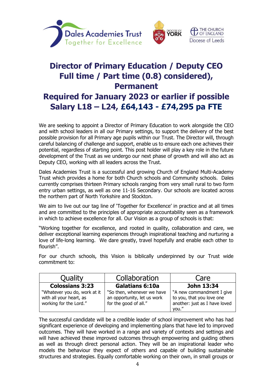



## **Director of Primary Education / Deputy CEO Full time / Part time (0.8) considered), Permanent Required for January 2023 or earlier if possible Salary L18 – L24, £64,143 - £74,295 pa FTE**

We are seeking to appoint a Director of Primary Education to work alongside the CEO and with school leaders in all our Primary settings, to support the delivery of the best possible provision for all Primary age pupils within our Trust. The Director will, through careful balancing of challenge and support, enable us to ensure each one achieves their potential, regardless of starting point. This post holder will play a key role in the future development of the Trust as we undergo our next phase of growth and will also act as Deputy CEO, working with all leaders across the Trust.

Dales Academies Trust is a successful and growing Church of England Multi-Academy Trust which provides a home for both Church schools and Community schools. Dales currently comprises thirteen Primary schools ranging from very small rural to two form entry urban settings, as well as one 11-16 Secondary. Our schools are located across the northern part of North Yorkshire and Stockton.

We aim to live out our tag line of 'Together for Excellence' in practice and at all times and are committed to the principles of appropriate accountability seen as a framework in which to achieve excellence for all. Our Vision as a group of schools is that:

"Working together for excellence, and rooted in quality, collaboration and care, we deliver exceptional learning experiences through inspirational teaching and nurturing a love of life-long learning. We dare greatly, travel hopefully and enable each other to flourish".

For our church schools, this Vision is biblically underpinned by our Trust wide commitment to:

| Quality                                                                           | Collaboration                                                                      | Care                                                                                             |
|-----------------------------------------------------------------------------------|------------------------------------------------------------------------------------|--------------------------------------------------------------------------------------------------|
| <b>Colossians 3:23</b>                                                            | <b>Galatians 6:10a</b>                                                             | John 13:34                                                                                       |
| "Whatever you do, work at it<br>with all your heart, as<br>working for the Lord." | "So then, whenever we have<br>an opportunity, let us work<br>for the good of all." | "A new commandment I give<br>to you, that you love one<br>another: just as I have loved<br>you." |

The successful candidate will be a credible leader of school improvement who has had significant experience of developing and implementing plans that have led to improved outcomes. They will have worked in a range and variety of contexts and settings and will have achieved these improved outcomes through empowering and guiding others as well as through direct personal action. They will be an inspirational leader who models the behaviour they expect of others and capable of building sustainable structures and strategies. Equally comfortable working on their own, in small groups or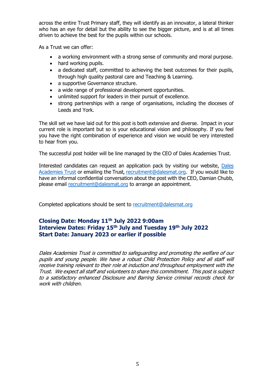across the entire Trust Primary staff, they will identify as an innovator, a lateral thinker who has an eye for detail but the ability to see the bigger picture, and is at all times driven to achieve the best for the pupils within our schools.

As a Trust we can offer:

- a working environment with a strong sense of community and moral purpose.
- hard working pupils.
- a dedicated staff, committed to achieving the best outcomes for their pupils, through high quality pastoral care and Teaching & Learning.
- a supportive Governance structure.
- a wide range of professional development opportunities.
- unlimited support for leaders in their pursuit of excellence.
- strong partnerships with a range of organisations, including the dioceses of Leeds and York.

The skill set we have laid out for this post is both extensive and diverse. Impact in your current role is important but so is your educational vision and philosophy. If you feel you have the right combination of experience and vision we would be very interested to hear from you.

The successful post holder will be line managed by the CEO of Dales Academies Trust.

Interested candidates can request an application pack by visiting our website, [Dales](https://www.dalesmat.org/vacancies-at-dales-2/)  [Academies Trust](https://www.dalesmat.org/vacancies-at-dales-2/) or emailing the Trust, [recruitment@dalesmat.org.](mailto:recruitment@dalesmat.org) If you would like to have an informal confidential conversation about the post with the CEO, Damian Chubb, please email [recruitment@dalesmat.org](mailto:recruitment@dalesmat.org) to arrange an appointment.

Completed applications should be sent to [recruitment@dalesmat.org](mailto:recruitment@dalesmat.org)

### **Closing Date: Monday 11th July 2022 9:00am Interview Dates: Friday 15th July and Tuesday 19th July 2022 Start Date: January 2023 or earlier if possible**

Dales Academies Trust is committed to safeguarding and promoting the welfare of our pupils and young people. We have a robust Child Protection Policy and all staff will receive training relevant to their role at induction and throughout employment with the Trust. We expect all staff and volunteers to share this commitment. This post is subject to a satisfactory enhanced Disclosure and Barring Service criminal records check for work with children.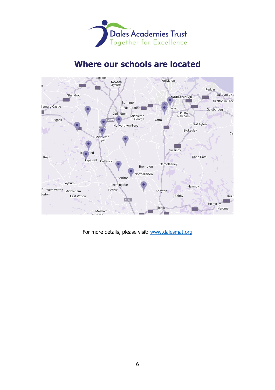

## **Where our schools are located**



For more details, please visit: [www.dalesmat.org](http://www.dalesmat.org/)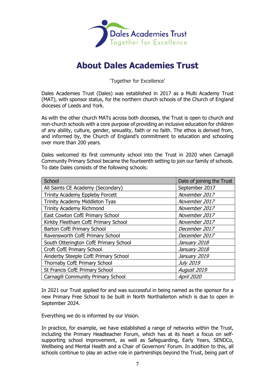

## **About Dales Academies Trust**

'Together for Excellence'

Dales Academies Trust (Dales) was established in 2017 as a Multi Academy Trust (MAT), with sponsor status, for the northern church schools of the Church of England dioceses of Leeds and York.

As with the other church MATs across both dioceses, the Trust is open to church and non-church schools with a core purpose of providing an inclusive education for children of any ability, culture, gender, sexuality, faith or no faith. The ethos is derived from, and informed by, the Church of England's commitment to education and schooling over more than 200 years.

Dales welcomed its first community school into the Trust in 2020 when Carnagill Community Primary School became the fourteenth setting to join our family of schools. To date Dales consists of the following schools:

| School                                    | Date of joining the Trust |
|-------------------------------------------|---------------------------|
| All Saints CE Academy (Secondary)         | September 2017            |
| Trinity Academy Eppleby Forcett           | November 2017             |
| <b>Trinity Academy Middleton Tyas</b>     | November 2017             |
| <b>Trinity Academy Richmond</b>           | November 2017             |
| East Cowton CofE Primary School           | November 2017             |
| Kirkby Fleetham CofE Primary School       | November 2017             |
| Barton CofE Primary School                | December 2017             |
| Ravensworth CofE Primary School           | December 2017             |
| South Otterington CofE Primary School     | January 2018              |
| Croft CofE Primary School                 | January 2018              |
| Ainderby Steeple CofE Primary School      | January 2019              |
| Thornaby CofE Primary School              | <b>July 2019</b>          |
| St Francis CofE Primary School            | August 2019               |
| <b>Carnagill Community Primary School</b> | April 2020                |

In 2021 our Trust applied for and was successful in being named as the sponsor for a new Primary Free School to be built in North Northallerton which is due to open in September 2024.

Everything we do is informed by our Vision.

In practice, for example, we have established a range of networks within the Trust, including the Primary Headteacher Forum, which has at its heart a focus on selfsupporting school improvement, as well as Safeguarding, Early Years, SENDCo, Wellbeing and Mental Health and a Chair of Governors' Forum. In addition to this, all schools continue to play an active role in partnerships beyond the Trust, being part of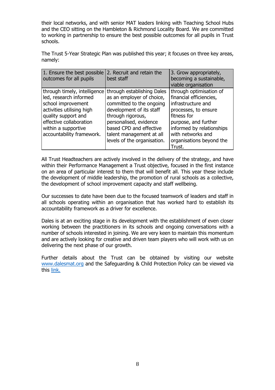their local networks, and with senior MAT leaders linking with Teaching School Hubs and the CEO sitting on the Hambleton & Richmond Locality Board. We are committed to working in partnership to ensure the best possible outcomes for all pupils in Trust schools.

The Trust 5-Year Strategic Plan was published this year; it focuses on three key areas, namely:

| 1. Ensure the best possible<br>outcomes for all pupils                                                                                                                                                          | 2. Recruit and retain the<br>best staff                                                                                                                                                                                                              | 3. Grow appropriately,<br>becoming a sustainable,<br>viable organisation                                                                                                                                                        |
|-----------------------------------------------------------------------------------------------------------------------------------------------------------------------------------------------------------------|------------------------------------------------------------------------------------------------------------------------------------------------------------------------------------------------------------------------------------------------------|---------------------------------------------------------------------------------------------------------------------------------------------------------------------------------------------------------------------------------|
| through timely, intelligence<br>led, research informed<br>school improvement<br>activities utilising high<br>quality support and<br>effective collaboration<br>within a supportive<br>accountability framework. | through establishing Dales<br>as an employer of choice,<br>committed to the ongoing<br>development of its staff<br>through rigorous,<br>personalised, evidence<br>based CPD and effective<br>talent management at all<br>levels of the organisation. | through optimisation of<br>financial efficiencies,<br>infrastructure and<br>processes, to ensure<br>fitness for<br>purpose, and further<br>informed by relationships<br>with networks and<br>organisations beyond the<br>Trust. |

All Trust Headteachers are actively involved in the delivery of the strategy, and have within their Performance Management a Trust objective, focused in the first instance on an area of particular interest to them that will benefit all. This year these include the development of middle leadership, the promotion of rural schools as a collective, the development of school improvement capacity and staff wellbeing.

Our successes to date have been due to the focused teamwork of leaders and staff in all schools operating within an organisation that has worked hard to establish its accountability framework as a driver for excellence.

Dales is at an exciting stage in its development with the establishment of even closer working between the practitioners in its schools and ongoing conversations with a number of schools interested in joining. We are very keen to maintain this momentum and are actively looking for creative and driven team players who will work with us on delivering the next phase of our growth.

Further details about the Trust can be obtained by visiting our website [www.dalesmat.org](http://www.dalesmat.org/) and the Safeguarding & Child Protection Policy can be viewed via this [link.](https://www.dalesmat.org/files/policies/Policy%20-%20Dales%20-%20Safeguarding%20and%20Child%20Protection.pdf)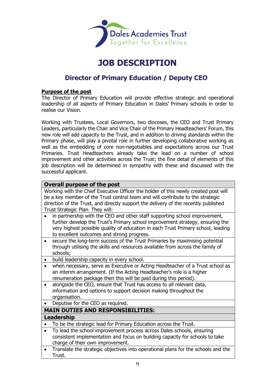

## **JOB DESCRIPTION**

### **Director of Primary Education / Deputy CEO**

#### **Purpose of the post**

The Director of Primary Education will provide effective strategic and operational leadership of all aspects of Primary Education in Dales' Primary schools in order to realise our Vision.

Working with Trustees, Local Governors, two dioceses, the CEO and Trust Primary Leaders, particularly the Chair and Vice Chair of the Primary Headteachers' Forum, this new role will add capacity to the Trust, and in addition to driving standards within the Primary phase, will play a pivotal role in further developing collaborative working as well as the embedding of core non-negotiables and expectations across our Trust Primaries. Trust Headteachers already take the lead on a number of school improvement and other activities across the Trust; the fine detail of elements of this job description will be determined in sympathy with these and discussed with the successful applicant.

#### **Overall purpose of the post**

Working with the Chief Executive Officer the holder of this newly created post will be a key member of the Trust central team and will contribute to the strategic direction of the Trust, and directly support the delivery of the recently published Trust Strategic Plan. They will:

- in partnership with the CEO and other staff supporting school improvement, further develop the Trust's Primary school improvement strategy, ensuring the very highest possible quality of education in each Trust Primary school, leading to excellent outcomes and strong progress.
- secure the long-term success of the Trust Primaries by maximising potential through utilising the skills and resources available from across the family of schools;
- build leadership capacity in every school.
- when necessary, serve as Executive or Acting Headteacher of a Trust school as an interim arrangement. (If the Acting Headteacher's role is a higher renumeration package then this will be paid during this period).
- alongside the CEO, ensure that Trust has access to all relevant data, information and options to support decision making throughout the organisation.
- Deputise for the CEO as required.

#### **MAIN DUTIES AND RESPONSIBILITIES:**

#### **Leadership**

• To be the strategic lead for Primary Education across the Trust.

- To lead the school improvement process across Dales schools, ensuring consistent implementation and focus on building capacity for schools to take charge of their own improvement.
- Translate the strategic objectives into operational plans for the schools and the Trust.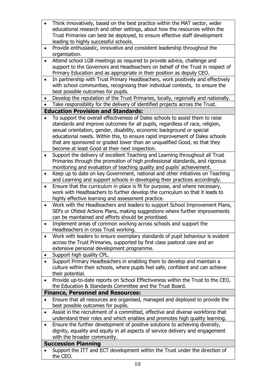| $\bullet$ | Think innovatively, based on the best practice within the MAT sector, wider                                                                                   |
|-----------|---------------------------------------------------------------------------------------------------------------------------------------------------------------|
|           | educational research and other settings, about how the resources within the                                                                                   |
|           | Trust Primaries can best be deployed, to ensure effective staff development                                                                                   |
| $\bullet$ | leading to highly successful schools.<br>Provide enthusiastic, innovative and consistent leadership throughout the                                            |
|           | organisation.                                                                                                                                                 |
| $\bullet$ | Attend school LGB meetings as required to provide advice, challenge and                                                                                       |
|           | support to the Governors and Headteachers on behalf of the Trust in respect of                                                                                |
|           | Primary Education and as appropriate in their position as deputy CEO.                                                                                         |
| $\bullet$ | In partnership with Trust Primary Headteachers, work positively and effectively                                                                               |
|           | with school communities, recognising their individual contexts, to ensure the                                                                                 |
|           | best possible outcomes for pupils.                                                                                                                            |
| $\bullet$ | Develop the reputation of the Trust Primaries, locally, regionally and nationally.                                                                            |
| $\bullet$ | Take responsibility for the delivery of identified projects across the Trust.                                                                                 |
|           | <b>Education Provision and Standards:</b>                                                                                                                     |
|           | To support the overall effectiveness of Dales schools to assist them to raise<br>standards and improve outcomes for all pupils, regardless of race, religion, |
|           | sexual orientation, gender, disability, economic background or special                                                                                        |
|           | educational needs. Within this, to ensure rapid improvement of Dales schools                                                                                  |
|           | that are sponsored or graded lower than an unqualified Good, so that they                                                                                     |
|           | become at least Good at their next inspection.                                                                                                                |
| $\bullet$ | Support the delivery of excellent Teaching and Learning throughout all Trust                                                                                  |
|           | Primaries through the promotion of high professional standards, and rigorous                                                                                  |
|           | monitoring and evaluation of teaching quality and pupils' achievement.                                                                                        |
| $\bullet$ | Keep up to date on key Government, national and other initiatives on Teaching                                                                                 |
|           | and Learning and support schools in developing their practices accordingly.                                                                                   |
| $\bullet$ | Ensure that the curriculum in place is fit for purpose, and where necessary,                                                                                  |
|           | work with Headteachers to further develop the curriculum so that it leads to<br>highly effective learning and assessment practice.                            |
| $\bullet$ | Work with the Headteachers and leaders to support School Improvement Plans,                                                                                   |
|           | SEFs or Ofsted Actions Plans, making suggestions where further improvements                                                                                   |
|           | can be maintained and efforts should be prioritised.                                                                                                          |
| $\bullet$ | Implement areas of common working across schools and support the                                                                                              |
|           | Headteachers in cross Trust working.                                                                                                                          |
| $\bullet$ | Work with leaders to ensure exemplary standards of pupil behaviour is evident                                                                                 |
|           | across the Trust Primaries, supported by first class pastoral care and an                                                                                     |
|           | extensive personal development programme.                                                                                                                     |
|           | Support high quality CPL.<br>Support Primary Headteachers in enabling them to develop and maintain a                                                          |
|           | culture within their schools, where pupils feel safe, confident and can achieve                                                                               |
|           | their potential.                                                                                                                                              |
|           | Provide up-to-date reports on School Effectiveness within the Trust to the CEO,                                                                               |
|           | the Education & Standards Committee and the Trust Board.                                                                                                      |
|           | <b>Finance, Personnel and Resources:</b>                                                                                                                      |
|           | Ensure that all resources are organised, managed and deployed to provide the                                                                                  |
|           | best possible outcomes for pupils.                                                                                                                            |
| ٠         | Assist in the recruitment of a committed, effective and diverse workforce that                                                                                |
|           | understand their roles and which enables and promotes high quality learning.                                                                                  |
|           | Ensure the further development of positive solutions to achieving diversity,                                                                                  |
|           | dignity, equality and equity in all aspects of service delivery and engagement<br>with the broader community.                                                 |
|           | <b>Succession Planning</b>                                                                                                                                    |
|           | Support the ITT and ECT development within the Trust under the direction of                                                                                   |
|           | the CEO.                                                                                                                                                      |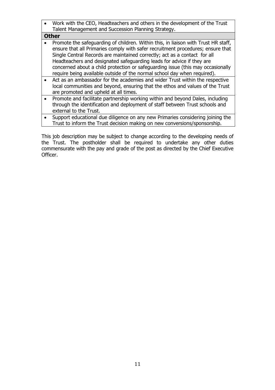• Work with the CEO, Headteachers and others in the development of the Trust Talent Management and Succession Planning Strategy.

|           | <b>Other</b>                                                                                                                                                                                                                                                                                                                                                                                                                                                                               |
|-----------|--------------------------------------------------------------------------------------------------------------------------------------------------------------------------------------------------------------------------------------------------------------------------------------------------------------------------------------------------------------------------------------------------------------------------------------------------------------------------------------------|
| $\bullet$ | Promote the safeguarding of children. Within this, in liaison with Trust HR staff,<br>ensure that all Primaries comply with safer recruitment procedures; ensure that<br>Single Central Records are maintained correctly; act as a contact for all<br>Headteachers and designated safeguarding leads for advice if they are<br>concerned about a child protection or safeguarding issue (this may occasionally<br>require being available outside of the normal school day when required). |
|           | Act as an ambassador for the academies and wider Trust within the respective<br>local communities and beyond, ensuring that the ethos and values of the Trust<br>are promoted and upheld at all times.                                                                                                                                                                                                                                                                                     |
|           | Promote and facilitate partnership working within and beyond Dales, including<br>through the identification and deployment of staff between Trust schools and                                                                                                                                                                                                                                                                                                                              |

- external to the Trust.
- Support educational due diligence on any new Primaries considering joining the Trust to inform the Trust decision making on new conversions/sponsorship.

This job description may be subject to change according to the developing needs of the Trust. The postholder shall be required to undertake any other duties commensurate with the pay and grade of the post as directed by the Chief Executive Officer.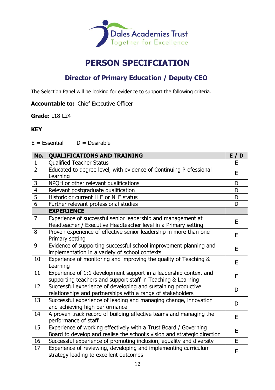

## **PERSON SPECIFCIATION**

### **Director of Primary Education / Deputy CEO**

The Selection Panel will be looking for evidence to support the following criteria.

**Accountable to:** Chief Executive Officer

**Grade:** L18-L24

### **KEY**

 $E = E$ ssential  $D =$  Desirable

| No.            | <b>QUALIFICATIONS AND TRAINING</b>                                                                                                           | E/D |
|----------------|----------------------------------------------------------------------------------------------------------------------------------------------|-----|
| $\mathbf{1}$   | <b>Qualified Teacher Status</b>                                                                                                              | E   |
| $\overline{2}$ | Educated to degree level, with evidence of Continuing Professional<br>Learning                                                               | E   |
| $\mathsf{3}$   | NPQH or other relevant qualifications                                                                                                        | D   |
| $\overline{4}$ | Relevant postgraduate qualification                                                                                                          | D   |
| $\overline{5}$ | Historic or current LLE or NLE status                                                                                                        | D   |
| 6              | Further relevant professional studies                                                                                                        | D   |
|                | <b>EXPERIENCE</b>                                                                                                                            |     |
| $\overline{7}$ | Experience of successful senior leadership and management at<br>Headteacher / Executive Headteacher level in a Primary setting               | E   |
| 8              | Proven experience of effective senior leadership in more than one<br>Primary setting                                                         | E   |
| 9              | Evidence of supporting successful school improvement planning and<br>implementation in a variety of school contexts                          | E   |
| 10             | Experience of monitoring and improving the quality of Teaching &<br>Learning                                                                 | E   |
| 11             | Experience of 1:1 development support in a leadership context and<br>supporting teachers and support staff in Teaching & Learning            | E   |
| 12             | Successful experience of developing and sustaining productive<br>relationships and partnerships with a range of stakeholders                 | D   |
| 13             | Successful experience of leading and managing change, innovation<br>and achieving high performance                                           | D   |
| 14             | A proven track record of building effective teams and managing the<br>performance of staff                                                   | E   |
| 15             | Experience of working effectively with a Trust Board / Governing<br>Board to develop and realise the school's vision and strategic direction | E   |
| 16             | Successful experience of promoting inclusion, equality and diversity                                                                         | E   |
| 17             | Experience of reviewing, developing and implementing curriculum<br>strategy leading to excellent outcomes                                    | E   |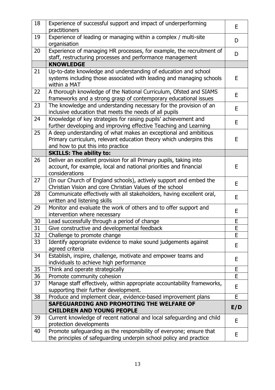| 18       | Experience of successful support and impact of underperforming<br>practitioners                  | E   |
|----------|--------------------------------------------------------------------------------------------------|-----|
| 19       | Experience of leading or managing within a complex / multi-site<br>organisation                  | D   |
| 20       | Experience of managing HR processes, for example, the recruitment of                             | D   |
|          | staff, restructuring processes and performance management                                        |     |
|          | <b>KNOWLEDGE</b>                                                                                 |     |
| 21       | Up-to-date knowledge and understanding of education and school                                   |     |
|          | systems including those associated with leading and managing schools<br>within a MAT             | E   |
| 22       | A thorough knowledge of the National Curriculum, Ofsted and SIAMS                                |     |
|          | frameworks and a strong grasp of contemporary educational issues                                 | E   |
| 23       | The knowledge and understanding necessary for the provision of an                                |     |
|          | inclusive education that meets the needs of all pupils                                           | E   |
| 24       | Knowledge of key strategies for raising pupils' achievement and                                  | E   |
|          | further developing and improving effective Teaching and Learning                                 |     |
| 25       | A deep understanding of what makes an exceptional and ambitious                                  |     |
|          | Primary curriculum, relevant education theory which underpins this                               | E   |
|          | and how to put this into practice                                                                |     |
|          | <b>SKILLS: The ability to:</b>                                                                   |     |
| 26       | Deliver an excellent provision for all Primary pupils, taking into                               |     |
|          | account, for example, local and national priorities and financial                                | E   |
|          | considerations                                                                                   |     |
| 27       | (In our Church of England schools), actively support and embed the                               | E   |
|          | Christian Vision and core Christian Values of the school                                         |     |
| 28       | Communicate effectively with all stakeholders, having excellent oral,                            | E   |
|          | written and listening skills                                                                     |     |
| 29       | Monitor and evaluate the work of others and to offer support and                                 | E   |
|          | intervention where necessary                                                                     | E   |
| 30       | Lead successfully through a period of change                                                     | E   |
| 31<br>32 | Give constructive and developmental feedback                                                     | E   |
| 33       | Challenge to promote change<br>Identify appropriate evidence to make sound judgements against    |     |
|          | agreed criteria                                                                                  | E   |
| 34       | Establish, inspire, challenge, motivate and empower teams and                                    | E   |
|          | individuals to achieve high performance                                                          |     |
| 35       | Think and operate strategically                                                                  | E   |
| 36       | Promote community cohesion                                                                       | E   |
| 37       | Manage staff effectively, within appropriate accountability frameworks,                          | E   |
|          | supporting their further development.                                                            |     |
| 38       | Produce and implement clear, evidence-based improvement plans                                    | E   |
|          | SAFEGUARDING AND PROMOTING THE WELFARE OF<br><b>CHILDREN AND YOUNG PEOPLE</b>                    | E/D |
| 39       | Current knowledge of recent national and local safeguarding and child<br>protection developments | E   |
| 40       | Promote safeguarding as the responsibility of everyone; ensure that                              |     |
|          | the principles of safeguarding underpin school policy and practice                               | E   |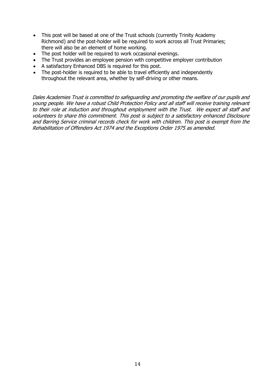- This post will be based at one of the Trust schools (currently Trinity Academy Richmond) and the post-holder will be required to work across all Trust Primaries; there will also be an element of home working.
- The post holder will be required to work occasional evenings.
- The Trust provides an employee pension with competitive employer contribution
- A satisfactory Enhanced DBS is required for this post.
- The post-holder is required to be able to travel efficiently and independently throughout the relevant area, whether by self-driving or other means.

Dales Academies Trust is committed to safeguarding and promoting the welfare of our pupils and young people. We have a robust Child Protection Policy and all staff will receive training relevant to their role at induction and throughout employment with the Trust. We expect all staff and volunteers to share this commitment. This post is subject to a satisfactory enhanced Disclosure and Barring Service criminal records check for work with children. This post is exempt from the Rehabilitation of Offenders Act 1974 and the Exceptions Order 1975 as amended.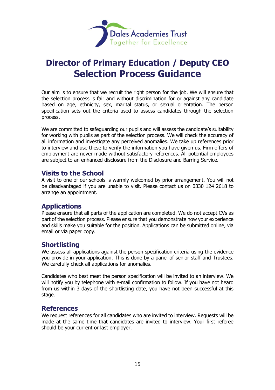

# **Director of Primary Education / Deputy CEO Selection Process Guidance**

Our aim is to ensure that we recruit the right person for the job. We will ensure that the selection process is fair and without discrimination for or against any candidate based on age, ethnicity, sex, marital status, or sexual orientation. The person specification sets out the criteria used to assess candidates through the selection process.

We are committed to safeguarding our pupils and will assess the candidate's suitability for working with pupils as part of the selection process. We will check the accuracy of all information and investigate any perceived anomalies. We take up references prior to interview and use these to verify the information you have given us. Firm offers of employment are never made without satisfactory references. All potential employees are subject to an enhanced disclosure from the Disclosure and Barring Service.

### **Visits to the School**

A visit to one of our schools is warmly welcomed by prior arrangement. You will not be disadvantaged if you are unable to visit. Please contact us on 0330 124 2618 to arrange an appointment.

### **Applications**

Please ensure that all parts of the application are completed. We do not accept CVs as part of the selection process. Please ensure that you demonstrate how your experience and skills make you suitable for the position. Applications can be submitted online, via email or via paper copy.

### **Shortlisting**

We assess all applications against the person specification criteria using the evidence you provide in your application. This is done by a panel of senior staff and Trustees. We carefully check all applications for anomalies.

Candidates who best meet the person specification will be invited to an interview. We will notify you by telephone with e-mail confirmation to follow. If you have not heard from us within 3 days of the shortlisting date, you have not been successful at this stage.

### **References**

We request references for all candidates who are invited to interview. Requests will be made at the same time that candidates are invited to interview. Your first referee should be your current or last employer.